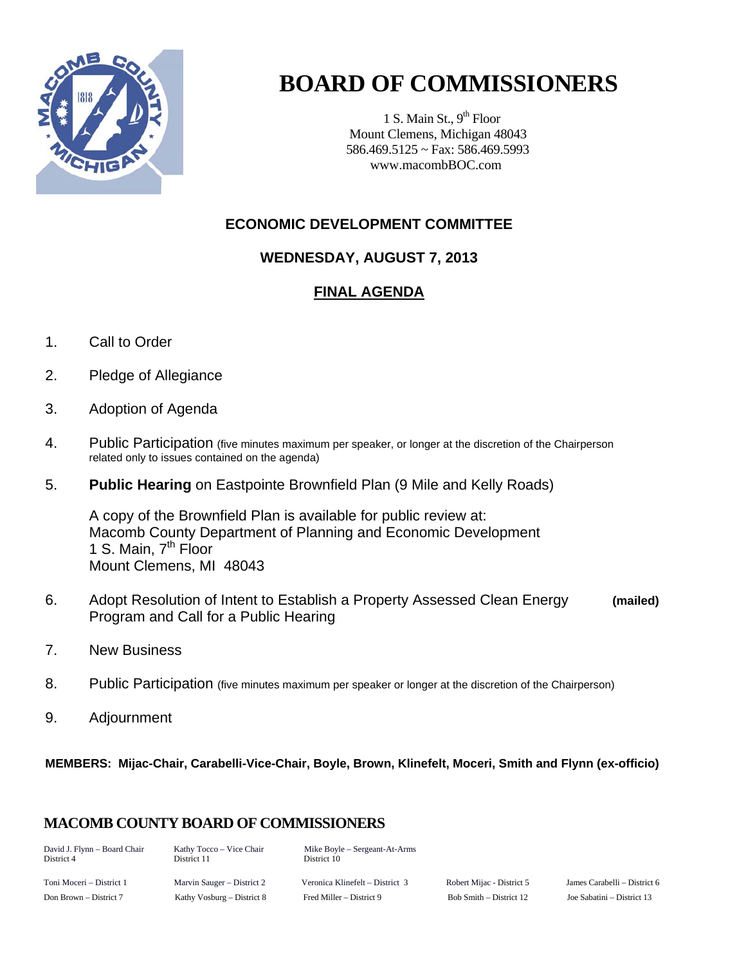

# **BOARD OF COMMISSIONERS**

1 S. Main St.,  $9<sup>th</sup>$  Floor Mount Clemens, Michigan 48043 586.469.5125 ~ Fax: 586.469.5993 www.macombBOC.com

#### **ECONOMIC DEVELOPMENT COMMITTEE**

#### **WEDNESDAY, AUGUST 7, 2013**

### **FINAL AGENDA**

- 1. Call to Order
- 2. Pledge of Allegiance
- 3. Adoption of Agenda
- 4. Public Participation (five minutes maximum per speaker, or longer at the discretion of the Chairperson related only to issues contained on the agenda)
- 5. **Public Hearing** on Eastpointe Brownfield Plan (9 Mile and Kelly Roads)

 A copy of the Brownfield Plan is available for public review at: Macomb County Department of Planning and Economic Development 1 S. Main, 7<sup>th</sup> Floor Mount Clemens, MI 48043

- 6. Adopt Resolution of Intent to Establish a Property Assessed Clean Energy **(mailed)**  Program and Call for a Public Hearing
- 7. New Business
- 8. Public Participation (five minutes maximum per speaker or longer at the discretion of the Chairperson)
- 9. Adjournment

**MEMBERS: Mijac-Chair, Carabelli-Vice-Chair, Boyle, Brown, Klinefelt, Moceri, Smith and Flynn (ex-officio)** 

## **MACOMB COUNTY BOARD OF COMMISSIONERS**

| David J. Flynn - Board Chair<br>District 4 | Kathy Tocco – Vice Chair<br>District 11 | Mike Boyle – Sergeant-At-Arms<br>District 10 |                           |                            |
|--------------------------------------------|-----------------------------------------|----------------------------------------------|---------------------------|----------------------------|
| Toni Moceri – District 1                   | Marvin Sauger – District 2              | Veronica Klinefelt – District 3              | Robert Mijac - District 5 | James Carabelli – District |
| Don Brown – District 7                     | Kathy Vosburg – District 8              | Fred Miller – District 9                     | Bob Smith – District 12   | Joe Sabatini – District 13 |

rt Mijac - District 5 James Carabelli – District 6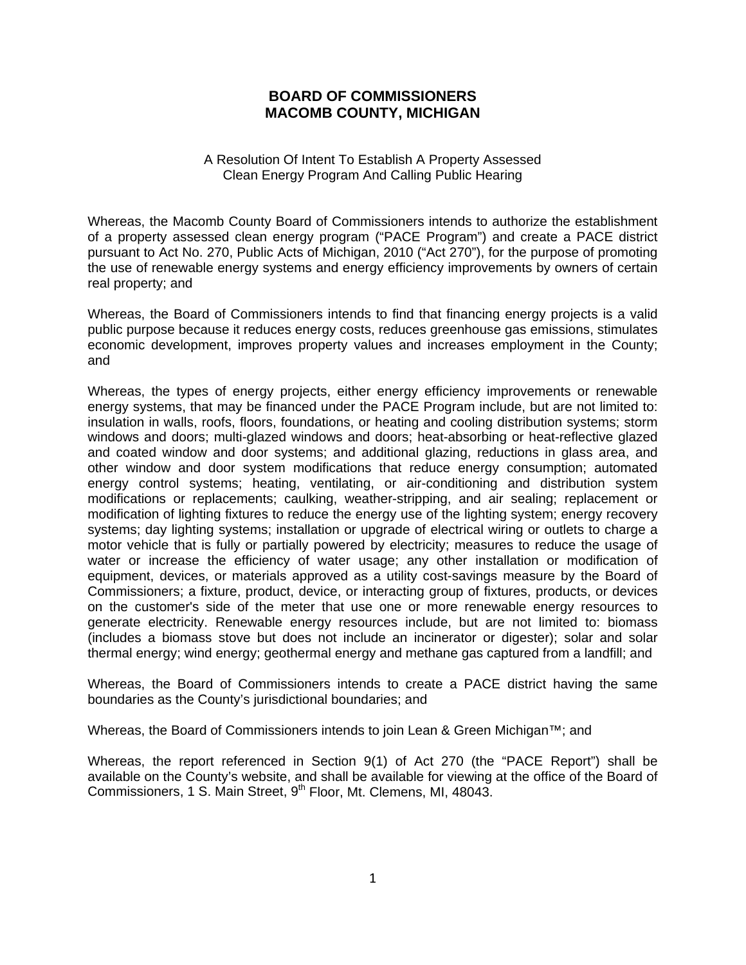#### **BOARD OF COMMISSIONERS MACOMB COUNTY, MICHIGAN**

#### A Resolution Of Intent To Establish A Property Assessed Clean Energy Program And Calling Public Hearing

Whereas, the Macomb County Board of Commissioners intends to authorize the establishment of a property assessed clean energy program ("PACE Program") and create a PACE district pursuant to Act No. 270, Public Acts of Michigan, 2010 ("Act 270"), for the purpose of promoting the use of renewable energy systems and energy efficiency improvements by owners of certain real property; and

Whereas, the Board of Commissioners intends to find that financing energy projects is a valid public purpose because it reduces energy costs, reduces greenhouse gas emissions, stimulates economic development, improves property values and increases employment in the County; and

Whereas, the types of energy projects, either energy efficiency improvements or renewable energy systems, that may be financed under the PACE Program include, but are not limited to: insulation in walls, roofs, floors, foundations, or heating and cooling distribution systems; storm windows and doors; multi-glazed windows and doors; heat-absorbing or heat-reflective glazed and coated window and door systems; and additional glazing, reductions in glass area, and other window and door system modifications that reduce energy consumption; automated energy control systems; heating, ventilating, or air-conditioning and distribution system modifications or replacements; caulking, weather-stripping, and air sealing; replacement or modification of lighting fixtures to reduce the energy use of the lighting system; energy recovery systems; day lighting systems; installation or upgrade of electrical wiring or outlets to charge a motor vehicle that is fully or partially powered by electricity; measures to reduce the usage of water or increase the efficiency of water usage; any other installation or modification of equipment, devices, or materials approved as a utility cost-savings measure by the Board of Commissioners; a fixture, product, device, or interacting group of fixtures, products, or devices on the customer's side of the meter that use one or more renewable energy resources to generate electricity. Renewable energy resources include, but are not limited to: biomass (includes a biomass stove but does not include an incinerator or digester); solar and solar thermal energy; wind energy; geothermal energy and methane gas captured from a landfill; and

Whereas, the Board of Commissioners intends to create a PACE district having the same boundaries as the County's jurisdictional boundaries; and

Whereas, the Board of Commissioners intends to join Lean & Green Michigan™; and

Whereas, the report referenced in Section 9(1) of Act 270 (the "PACE Report") shall be available on the County's website, and shall be available for viewing at the office of the Board of Commissioners, 1 S. Main Street, 9<sup>th</sup> Floor, Mt. Clemens, MI, 48043.